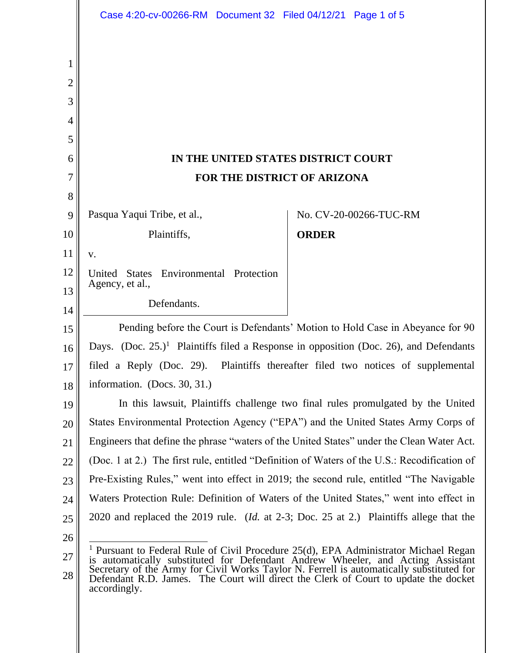|             | Case 4:20-cv-00266-RM  Document 32  Filed 04/12/21  Page 1 of 5                                                                                                                                                                                                                                                                                                                    |              |                        |
|-------------|------------------------------------------------------------------------------------------------------------------------------------------------------------------------------------------------------------------------------------------------------------------------------------------------------------------------------------------------------------------------------------|--------------|------------------------|
| 1<br>2<br>3 |                                                                                                                                                                                                                                                                                                                                                                                    |              |                        |
| 4           |                                                                                                                                                                                                                                                                                                                                                                                    |              |                        |
| 5           |                                                                                                                                                                                                                                                                                                                                                                                    |              |                        |
| 6           | IN THE UNITED STATES DISTRICT COURT                                                                                                                                                                                                                                                                                                                                                |              |                        |
| 7           | FOR THE DISTRICT OF ARIZONA                                                                                                                                                                                                                                                                                                                                                        |              |                        |
| 8           |                                                                                                                                                                                                                                                                                                                                                                                    |              |                        |
| 9           | Pasqua Yaqui Tribe, et al.,                                                                                                                                                                                                                                                                                                                                                        |              | No. CV-20-00266-TUC-RM |
| 10          | Plaintiffs,                                                                                                                                                                                                                                                                                                                                                                        | <b>ORDER</b> |                        |
| 11          | V.                                                                                                                                                                                                                                                                                                                                                                                 |              |                        |
| 12          | <b>States</b><br>Environmental Protection<br>United                                                                                                                                                                                                                                                                                                                                |              |                        |
| 13          | Agency, et al.,                                                                                                                                                                                                                                                                                                                                                                    |              |                        |
| 14          | Defendants.                                                                                                                                                                                                                                                                                                                                                                        |              |                        |
| 15          | Pending before the Court is Defendants' Motion to Hold Case in Abeyance for 90                                                                                                                                                                                                                                                                                                     |              |                        |
| 16          | Days. (Doc. $25.$ ) <sup>1</sup> Plaintiffs filed a Response in opposition (Doc. 26), and Defendants                                                                                                                                                                                                                                                                               |              |                        |
| 17          | filed a Reply (Doc. 29). Plaintiffs thereafter filed two notices of supplemental                                                                                                                                                                                                                                                                                                   |              |                        |
| 18          | information. (Docs. 30, 31.)                                                                                                                                                                                                                                                                                                                                                       |              |                        |
| 19          | In this lawsuit, Plaintiffs challenge two final rules promulgated by the United                                                                                                                                                                                                                                                                                                    |              |                        |
| 20          | States Environmental Protection Agency ("EPA") and the United States Army Corps of                                                                                                                                                                                                                                                                                                 |              |                        |
| 21          | Engineers that define the phrase "waters of the United States" under the Clean Water Act.                                                                                                                                                                                                                                                                                          |              |                        |
| 22          | (Doc. 1 at 2.) The first rule, entitled "Definition of Waters of the U.S.: Recodification of                                                                                                                                                                                                                                                                                       |              |                        |
| 23          | Pre-Existing Rules," went into effect in 2019; the second rule, entitled "The Navigable"                                                                                                                                                                                                                                                                                           |              |                        |
| 24          | Waters Protection Rule: Definition of Waters of the United States," went into effect in                                                                                                                                                                                                                                                                                            |              |                        |
| 25          | 2020 and replaced the 2019 rule. ( <i>Id.</i> at 2-3; Doc. 25 at 2.) Plaintiffs allege that the                                                                                                                                                                                                                                                                                    |              |                        |
| 26          |                                                                                                                                                                                                                                                                                                                                                                                    |              |                        |
| 27          | <sup>1</sup> Pursuant to Federal Rule of Civil Procedure 25(d), EPA Administrator Michael Regan<br>is automatically substituted for Defendant Andrew Wheeler, and Acting Assistant<br>Secretary of the Army for Civil Works Taylor N. Ferrell is automatically substituted for Defendant R.D. James. The Court will direct the Clerk of Court to update the docket<br>accordingly. |              |                        |
| 28          |                                                                                                                                                                                                                                                                                                                                                                                    |              |                        |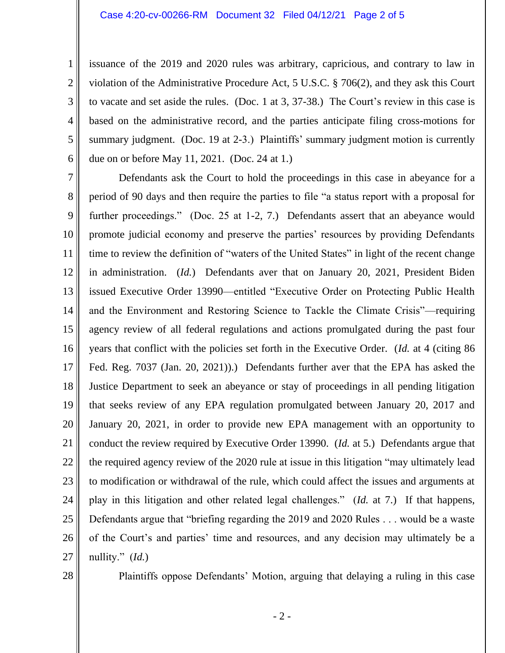issuance of the 2019 and 2020 rules was arbitrary, capricious, and contrary to law in violation of the Administrative Procedure Act, 5 U.S.C. § 706(2), and they ask this Court to vacate and set aside the rules. (Doc. 1 at 3, 37-38.) The Court's review in this case is based on the administrative record, and the parties anticipate filing cross-motions for summary judgment. (Doc. 19 at 2-3.) Plaintiffs' summary judgment motion is currently due on or before May 11, 2021. (Doc. 24 at 1.)

7 8 9 10 11 12 13 14 15 16 17 18 19 20 21 22 23 24 25 26 27 Defendants ask the Court to hold the proceedings in this case in abeyance for a period of 90 days and then require the parties to file "a status report with a proposal for further proceedings." (Doc. 25 at 1-2, 7.) Defendants assert that an abeyance would promote judicial economy and preserve the parties' resources by providing Defendants time to review the definition of "waters of the United States" in light of the recent change in administration. (*Id.*) Defendants aver that on January 20, 2021, President Biden issued Executive Order 13990—entitled "Executive Order on Protecting Public Health and the Environment and Restoring Science to Tackle the Climate Crisis"—requiring agency review of all federal regulations and actions promulgated during the past four years that conflict with the policies set forth in the Executive Order. (*Id.* at 4 (citing 86 Fed. Reg. 7037 (Jan. 20, 2021)).) Defendants further aver that the EPA has asked the Justice Department to seek an abeyance or stay of proceedings in all pending litigation that seeks review of any EPA regulation promulgated between January 20, 2017 and January 20, 2021, in order to provide new EPA management with an opportunity to conduct the review required by Executive Order 13990. (*Id.* at 5.) Defendants argue that the required agency review of the 2020 rule at issue in this litigation "may ultimately lead to modification or withdrawal of the rule, which could affect the issues and arguments at play in this litigation and other related legal challenges." (*Id.* at 7.) If that happens, Defendants argue that "briefing regarding the 2019 and 2020 Rules . . . would be a waste of the Court's and parties' time and resources, and any decision may ultimately be a nullity." (*Id.*)

28

1

2

3

4

5

6

Plaintiffs oppose Defendants' Motion, arguing that delaying a ruling in this case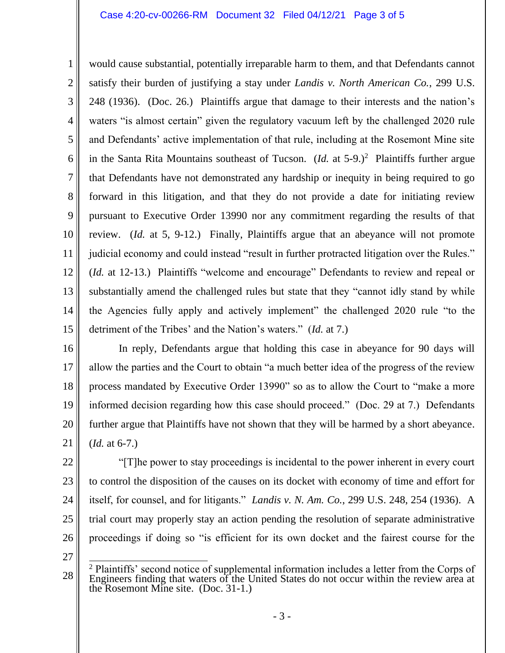## Case 4:20-cv-00266-RM Document 32 Filed 04/12/21 Page 3 of 5

1 2 3 4 5 6 7 8 9 10 11 12 13 14 15 would cause substantial, potentially irreparable harm to them, and that Defendants cannot satisfy their burden of justifying a stay under *Landis v. North American Co.*, 299 U.S. 248 (1936). (Doc. 26.) Plaintiffs argue that damage to their interests and the nation's waters "is almost certain" given the regulatory vacuum left by the challenged 2020 rule and Defendants' active implementation of that rule, including at the Rosemont Mine site in the Santa Rita Mountains southeast of Tucson. (*Id.* at  $5-9$ .)<sup>2</sup> Plaintiffs further argue that Defendants have not demonstrated any hardship or inequity in being required to go forward in this litigation, and that they do not provide a date for initiating review pursuant to Executive Order 13990 nor any commitment regarding the results of that review. (*Id.* at 5, 9-12.) Finally, Plaintiffs argue that an abeyance will not promote judicial economy and could instead "result in further protracted litigation over the Rules." (*Id.* at 12-13.) Plaintiffs "welcome and encourage" Defendants to review and repeal or substantially amend the challenged rules but state that they "cannot idly stand by while the Agencies fully apply and actively implement" the challenged 2020 rule "to the detriment of the Tribes' and the Nation's waters." (*Id.* at 7.)

16

17 18 19 20 21 In reply, Defendants argue that holding this case in abeyance for 90 days will allow the parties and the Court to obtain "a much better idea of the progress of the review process mandated by Executive Order 13990" so as to allow the Court to "make a more informed decision regarding how this case should proceed." (Doc. 29 at 7.) Defendants further argue that Plaintiffs have not shown that they will be harmed by a short abeyance. (*Id.* at 6-7.)

22 23 24 25 26 "[T]he power to stay proceedings is incidental to the power inherent in every court to control the disposition of the causes on its docket with economy of time and effort for itself, for counsel, and for litigants." *Landis v. N. Am. Co.*, 299 U.S. 248, 254 (1936). A trial court may properly stay an action pending the resolution of separate administrative proceedings if doing so "is efficient for its own docket and the fairest course for the

27

<sup>28</sup> <sup>2</sup> Plaintiffs' second notice of supplemental information includes a letter from the Corps of Engineers finding that waters of the United States do not occur within the review area at the Rosemont Mine site. (Doc. 31-1.)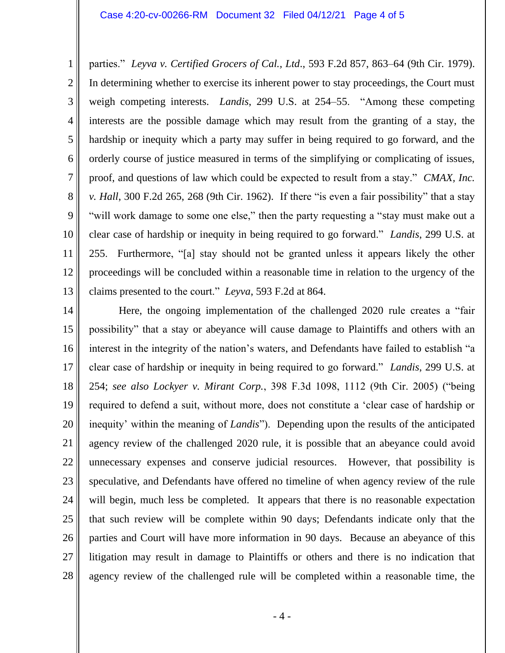1 2 3 4 5 6 7 8 9 10 11 12 13 parties." *Leyva v. Certified Grocers of Cal., Ltd*., 593 F.2d 857, 863–64 (9th Cir. 1979). In determining whether to exercise its inherent power to stay proceedings, the Court must weigh competing interests. *Landis*, 299 U.S. at 254–55. "Among these competing interests are the possible damage which may result from the granting of a stay, the hardship or inequity which a party may suffer in being required to go forward, and the orderly course of justice measured in terms of the simplifying or complicating of issues, proof, and questions of law which could be expected to result from a stay." *CMAX, Inc. v. Hall*, 300 F.2d 265, 268 (9th Cir. 1962). If there "is even a fair possibility" that a stay "will work damage to some one else," then the party requesting a "stay must make out a clear case of hardship or inequity in being required to go forward." *Landis*, 299 U.S. at 255. Furthermore, "[a] stay should not be granted unless it appears likely the other proceedings will be concluded within a reasonable time in relation to the urgency of the claims presented to the court." *Leyva*, 593 F.2d at 864.

14 15 16 17 18 19 20 21 22 23 24 25 26 27 28 Here, the ongoing implementation of the challenged 2020 rule creates a "fair possibility" that a stay or abeyance will cause damage to Plaintiffs and others with an interest in the integrity of the nation's waters, and Defendants have failed to establish "a clear case of hardship or inequity in being required to go forward." *Landis*, 299 U.S. at 254; *see also Lockyer v. Mirant Corp.*, 398 F.3d 1098, 1112 (9th Cir. 2005) ("being required to defend a suit, without more, does not constitute a 'clear case of hardship or inequity' within the meaning of *Landis*"). Depending upon the results of the anticipated agency review of the challenged 2020 rule, it is possible that an abeyance could avoid unnecessary expenses and conserve judicial resources. However, that possibility is speculative, and Defendants have offered no timeline of when agency review of the rule will begin, much less be completed. It appears that there is no reasonable expectation that such review will be complete within 90 days; Defendants indicate only that the parties and Court will have more information in 90 days. Because an abeyance of this litigation may result in damage to Plaintiffs or others and there is no indication that agency review of the challenged rule will be completed within a reasonable time, the